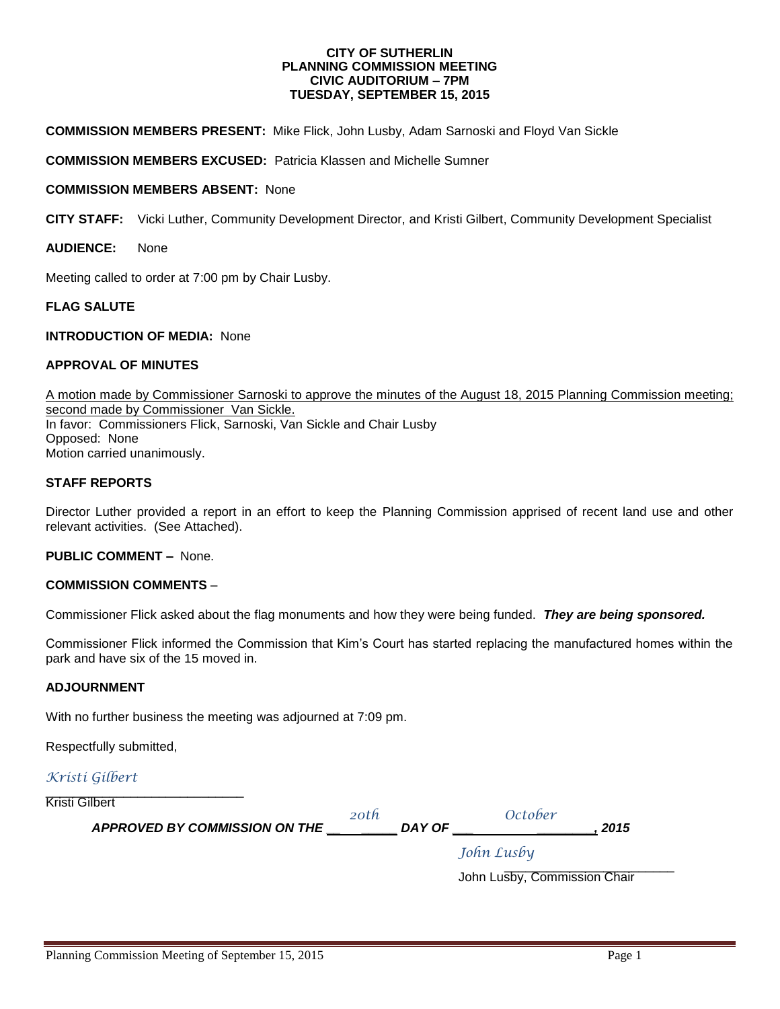#### **CITY OF SUTHERLIN PLANNING COMMISSION MEETING CIVIC AUDITORIUM – 7PM TUESDAY, SEPTEMBER 15, 2015**

**COMMISSION MEMBERS PRESENT:** Mike Flick, John Lusby, Adam Sarnoski and Floyd Van Sickle

**COMMISSION MEMBERS EXCUSED:** Patricia Klassen and Michelle Sumner

#### **COMMISSION MEMBERS ABSENT:** None

**CITY STAFF:** Vicki Luther, Community Development Director, and Kristi Gilbert, Community Development Specialist

#### **AUDIENCE:** None

Meeting called to order at 7:00 pm by Chair Lusby.

#### **FLAG SALUTE**

#### **INTRODUCTION OF MEDIA: None**

#### **APPROVAL OF MINUTES**

A motion made by Commissioner Sarnoski to approve the minutes of the August 18, 2015 Planning Commission meeting; second made by Commissioner Van Sickle. In favor: Commissioners Flick, Sarnoski, Van Sickle and Chair Lusby Opposed:None Motion carried unanimously.

#### **STAFF REPORTS**

Director Luther provided a report in an effort to keep the Planning Commission apprised of recent land use and other relevant activities. (See Attached).

#### **PUBLIC COMMENT –** None.

#### **COMMISSION COMMENTS** –

Commissioner Flick asked about the flag monuments and how they were being funded. *They are being sponsored.*

Commissioner Flick informed the Commission that Kim's Court has started replacing the manufactured homes within the park and have six of the 15 moved in.

#### **ADJOURNMENT**

With no further business the meeting was adjourned at 7:09 pm.

Respectfully submitted,

#### *Kristi Gilbert*

| Kristi Gilbert<br>APPROVED BY COMMISSION ON THE | 20th | October<br>DAY OF | 2015 |
|-------------------------------------------------|------|-------------------|------|
|                                                 |      | John Lusby        |      |

\_\_\_\_\_\_\_\_\_\_\_\_\_\_\_\_\_\_\_\_\_\_\_\_ John Lusby, Commission Chair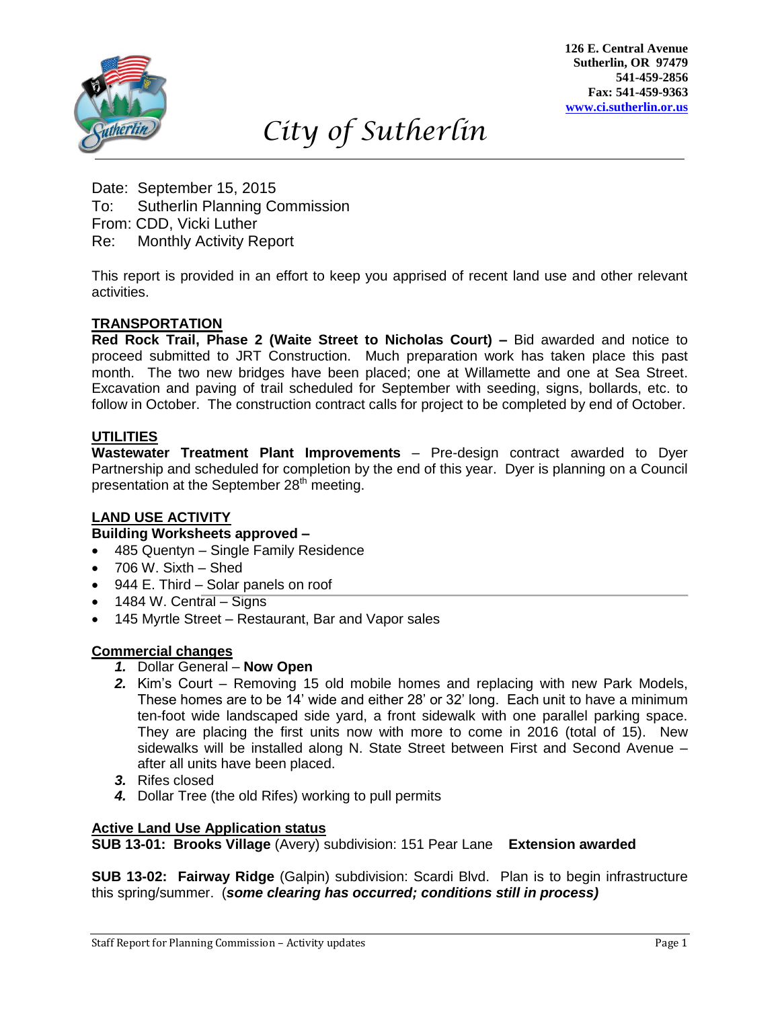

**126 E. Central Avenue Sutherlin, OR 97479 541-459-2856 Fax: 541-459-9363 [www.ci.sutherlin.or.us](http://www.ci.sutherlin.or.us/)**

# *City of Sutherlin*

Date: September 15, 2015 To: Sutherlin Planning Commission From: CDD, Vicki Luther Re: Monthly Activity Report

This report is provided in an effort to keep you apprised of recent land use and other relevant activities. *Dd*

# **TRANSPORTATION**

**Red Rock Trail, Phase 2 (Waite Street to Nicholas Court) –** Bid awarded and notice to proceed submitted to JRT Construction. Much preparation work has taken place this past month. The two new bridges have been placed; one at Willamette and one at Sea Street. Excavation and paving of trail scheduled for September with seeding, signs, bollards, etc. to follow in October. The construction contract calls for project to be completed by end of October. *D*

# **UTILITIES**

**Wastewater Treatment Plant Improvements** – Pre-design contract awarded to Dyer Partnership and scheduled for completion by the end of this year. Dyer is planning on a Council presentation at the September 28<sup>th</sup> meeting.

# **LAND USE ACTIVITY** *D*

# **Building Worksheets approved –**

- 485 Quentyn Single Family Residence *jfjdkdl*
- 706 W. Sixth Shed
- 944 E. Third Solar panels on roof
- $\bullet$  1484 W. Central Signs
- 145 Myrtle Street Restaurant, Bar and Vapor sales

# **Commercial changes**

- *1.* Dollar General **Now Open**
- *2.* Kim's Court Removing 15 old mobile homes and replacing with new Park Models, These homes are to be 14' wide and either 28' or 32' long. Each unit to have a minimum ten-foot wide landscaped side yard, a front sidewalk with one parallel parking space. They are placing the first units now with more to come in 2016 (total of 15). New sidewalks will be installed along N. State Street between First and Second Avenue – after all units have been placed.
- *3.* Rifes closed
- *4.* Dollar Tree (the old Rifes) working to pull permits

### **Active Land Use Application status**

**SUB 13-01: Brooks Village** (Avery) subdivision: 151 Pear Lane **Extension awarded**

**SUB 13-02: Fairway Ridge** (Galpin) subdivision: Scardi Blvd. Plan is to begin infrastructure this spring/summer. (*some clearing has occurred; conditions still in process)*